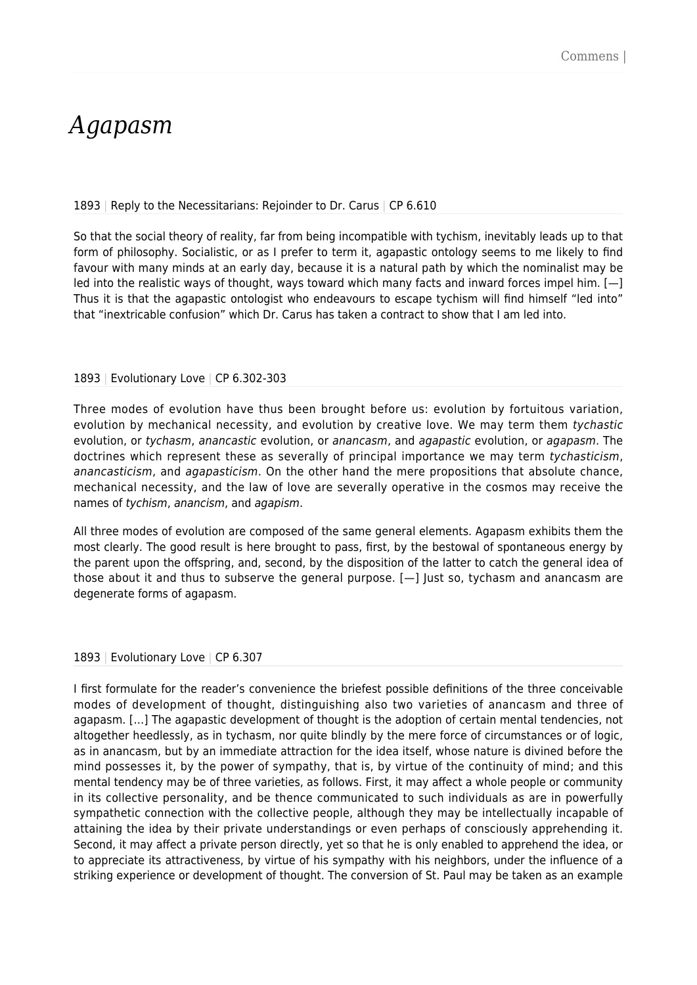## *Agapasm*

## 1893 | Reply to the Necessitarians: Rejoinder to Dr. Carus | CP 6.610

So that the social theory of reality, far from being incompatible with tychism, inevitably leads up to that form of philosophy. Socialistic, or as I prefer to term it, agapastic ontology seems to me likely to find favour with many minds at an early day, because it is a natural path by which the nominalist may be led into the realistic ways of thought, ways toward which many facts and inward forces impel him. [—] Thus it is that the agapastic ontologist who endeavours to escape tychism will find himself "led into" that "inextricable confusion" which Dr. Carus has taken a contract to show that I am led into.

## 1893 | Evolutionary Love | CP 6.302-303

Three modes of evolution have thus been brought before us: evolution by fortuitous variation, evolution by mechanical necessity, and evolution by creative love. We may term them tychastic evolution, or tychasm, anancastic evolution, or anancasm, and agapastic evolution, or agapasm. The doctrines which represent these as severally of principal importance we may term tychasticism, anancasticism, and agapasticism. On the other hand the mere propositions that absolute chance, mechanical necessity, and the law of love are severally operative in the cosmos may receive the names of tychism, anancism, and agapism.

All three modes of evolution are composed of the same general elements. Agapasm exhibits them the most clearly. The good result is here brought to pass, first, by the bestowal of spontaneous energy by the parent upon the offspring, and, second, by the disposition of the latter to catch the general idea of those about it and thus to subserve the general purpose. [—] Just so, tychasm and anancasm are degenerate forms of agapasm.

## 1893 | Evolutionary Love | CP 6.307

I first formulate for the reader's convenience the briefest possible definitions of the three conceivable modes of development of thought, distinguishing also two varieties of anancasm and three of agapasm. […] The agapastic development of thought is the adoption of certain mental tendencies, not altogether heedlessly, as in tychasm, nor quite blindly by the mere force of circumstances or of logic, as in anancasm, but by an immediate attraction for the idea itself, whose nature is divined before the mind possesses it, by the power of sympathy, that is, by virtue of the continuity of mind; and this mental tendency may be of three varieties, as follows. First, it may affect a whole people or community in its collective personality, and be thence communicated to such individuals as are in powerfully sympathetic connection with the collective people, although they may be intellectually incapable of attaining the idea by their private understandings or even perhaps of consciously apprehending it. Second, it may affect a private person directly, yet so that he is only enabled to apprehend the idea, or to appreciate its attractiveness, by virtue of his sympathy with his neighbors, under the influence of a striking experience or development of thought. The conversion of St. Paul may be taken as an example